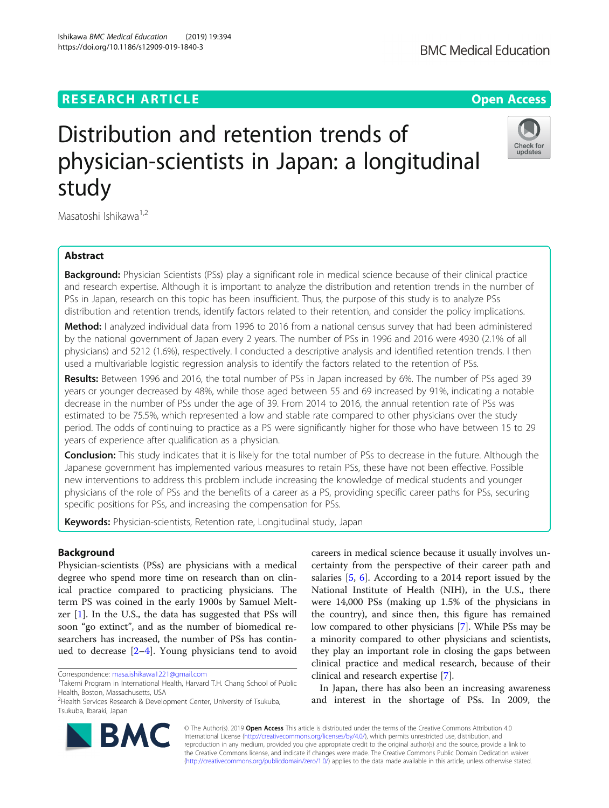# **RESEARCH ARTICLE Example 2014 CONSIDERING A RESEARCH ARTICLE**

# Distribution and retention trends of physician-scientists in Japan: a longitudinal study

Masatoshi Ishikawa<sup>1,2</sup>

# Abstract

Background: Physician Scientists (PSs) play a significant role in medical science because of their clinical practice and research expertise. Although it is important to analyze the distribution and retention trends in the number of PSs in Japan, research on this topic has been insufficient. Thus, the purpose of this study is to analyze PSs distribution and retention trends, identify factors related to their retention, and consider the policy implications.

Method: I analyzed individual data from 1996 to 2016 from a national census survey that had been administered by the national government of Japan every 2 years. The number of PSs in 1996 and 2016 were 4930 (2.1% of all physicians) and 5212 (1.6%), respectively. I conducted a descriptive analysis and identified retention trends. I then used a multivariable logistic regression analysis to identify the factors related to the retention of PSs.

Results: Between 1996 and 2016, the total number of PSs in Japan increased by 6%. The number of PSs aged 39 years or younger decreased by 48%, while those aged between 55 and 69 increased by 91%, indicating a notable decrease in the number of PSs under the age of 39. From 2014 to 2016, the annual retention rate of PSs was estimated to be 75.5%, which represented a low and stable rate compared to other physicians over the study period. The odds of continuing to practice as a PS were significantly higher for those who have between 15 to 29 years of experience after qualification as a physician.

**Conclusion:** This study indicates that it is likely for the total number of PSs to decrease in the future. Although the Japanese government has implemented various measures to retain PSs, these have not been effective. Possible new interventions to address this problem include increasing the knowledge of medical students and younger physicians of the role of PSs and the benefits of a career as a PS, providing specific career paths for PSs, securing specific positions for PSs, and increasing the compensation for PSs.

Keywords: Physician-scientists, Retention rate, Longitudinal study, Japan

# Background

Physician-scientists (PSs) are physicians with a medical degree who spend more time on research than on clinical practice compared to practicing physicians. The term PS was coined in the early 1900s by Samuel Meltzer  $[1]$  $[1]$ . In the U.S., the data has suggested that PSs will soon "go extinct", and as the number of biomedical researchers has increased, the number of PSs has continued to decrease  $[2-4]$  $[2-4]$  $[2-4]$  $[2-4]$ . Young physicians tend to avoid

Correspondence: [masa.ishikawa1221@gmail.com](mailto:masa.ishikawa1221@gmail.com) <sup>1</sup>

clinical and research expertise [[7\]](#page-7-0). © The Author(s). 2019 **Open Access** This article is distributed under the terms of the Creative Commons Attribution 4.0

International License [\(http://creativecommons.org/licenses/by/4.0/](http://creativecommons.org/licenses/by/4.0/)), which permits unrestricted use, distribution, and reproduction in any medium, provided you give appropriate credit to the original author(s) and the source, provide a link to the Creative Commons license, and indicate if changes were made. The Creative Commons Public Domain Dedication waiver [\(http://creativecommons.org/publicdomain/zero/1.0/](http://creativecommons.org/publicdomain/zero/1.0/)) applies to the data made available in this article, unless otherwise stated.

salaries [\[5,](#page-7-0) [6\]](#page-7-0). According to a 2014 report issued by the National Institute of Health (NIH), in the U.S., there were 14,000 PSs (making up 1.5% of the physicians in the country), and since then, this figure has remained low compared to other physicians [\[7](#page-7-0)]. While PSs may be a minority compared to other physicians and scientists, they play an important role in closing the gaps between clinical practice and medical research, because of their

In Japan, there has also been an increasing awareness and interest in the shortage of PSs. In 2009, the

careers in medical science because it usually involves uncertainty from the perspective of their career path and



Check for updates



<sup>&</sup>lt;sup>1</sup>Takemi Program in International Health, Harvard T.H. Chang School of Public Health, Boston, Massachusetts, USA

<sup>&</sup>lt;sup>2</sup> Health Services Research & Development Center, University of Tsukuba, Tsukuba, Ibaraki, Japan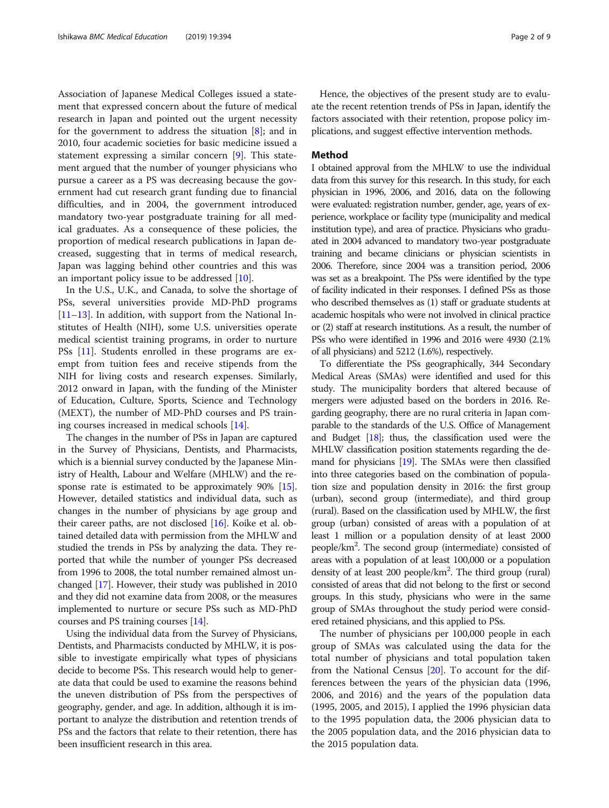Association of Japanese Medical Colleges issued a statement that expressed concern about the future of medical research in Japan and pointed out the urgent necessity for the government to address the situation  $[8]$  $[8]$ ; and in 2010, four academic societies for basic medicine issued a statement expressing a similar concern [\[9](#page-7-0)]. This statement argued that the number of younger physicians who pursue a career as a PS was decreasing because the government had cut research grant funding due to financial difficulties, and in 2004, the government introduced mandatory two-year postgraduate training for all medical graduates. As a consequence of these policies, the proportion of medical research publications in Japan decreased, suggesting that in terms of medical research, Japan was lagging behind other countries and this was an important policy issue to be addressed [\[10\]](#page-7-0).

In the U.S., U.K., and Canada, to solve the shortage of PSs, several universities provide MD-PhD programs [[11](#page-7-0)–[13](#page-7-0)]. In addition, with support from the National Institutes of Health (NIH), some U.S. universities operate medical scientist training programs, in order to nurture PSs [\[11\]](#page-7-0). Students enrolled in these programs are exempt from tuition fees and receive stipends from the NIH for living costs and research expenses. Similarly, 2012 onward in Japan, with the funding of the Minister of Education, Culture, Sports, Science and Technology (MEXT), the number of MD-PhD courses and PS training courses increased in medical schools [[14](#page-7-0)].

The changes in the number of PSs in Japan are captured in the Survey of Physicians, Dentists, and Pharmacists, which is a biennial survey conducted by the Japanese Ministry of Health, Labour and Welfare (MHLW) and the re-sponse rate is estimated to be approximately 90% [[15](#page-7-0)]. However, detailed statistics and individual data, such as changes in the number of physicians by age group and their career paths, are not disclosed [\[16\]](#page-7-0). Koike et al. obtained detailed data with permission from the MHLW and studied the trends in PSs by analyzing the data. They reported that while the number of younger PSs decreased from 1996 to 2008, the total number remained almost unchanged [\[17\]](#page-7-0). However, their study was published in 2010 and they did not examine data from 2008, or the measures implemented to nurture or secure PSs such as MD-PhD courses and PS training courses [\[14\]](#page-7-0).

Using the individual data from the Survey of Physicians, Dentists, and Pharmacists conducted by MHLW, it is possible to investigate empirically what types of physicians decide to become PSs. This research would help to generate data that could be used to examine the reasons behind the uneven distribution of PSs from the perspectives of geography, gender, and age. In addition, although it is important to analyze the distribution and retention trends of PSs and the factors that relate to their retention, there has been insufficient research in this area.

Hence, the objectives of the present study are to evaluate the recent retention trends of PSs in Japan, identify the factors associated with their retention, propose policy implications, and suggest effective intervention methods.

### Method

I obtained approval from the MHLW to use the individual data from this survey for this research. In this study, for each physician in 1996, 2006, and 2016, data on the following were evaluated: registration number, gender, age, years of experience, workplace or facility type (municipality and medical institution type), and area of practice. Physicians who graduated in 2004 advanced to mandatory two-year postgraduate training and became clinicians or physician scientists in 2006. Therefore, since 2004 was a transition period, 2006 was set as a breakpoint. The PSs were identified by the type of facility indicated in their responses. I defined PSs as those who described themselves as (1) staff or graduate students at academic hospitals who were not involved in clinical practice or (2) staff at research institutions. As a result, the number of PSs who were identified in 1996 and 2016 were 4930 (2.1% of all physicians) and 5212 (1.6%), respectively.

To differentiate the PSs geographically, 344 Secondary Medical Areas (SMAs) were identified and used for this study. The municipality borders that altered because of mergers were adjusted based on the borders in 2016. Regarding geography, there are no rural criteria in Japan comparable to the standards of the U.S. Office of Management and Budget  $[18]$  $[18]$ ; thus, the classification used were the MHLW classification position statements regarding the demand for physicians [\[19\]](#page-7-0). The SMAs were then classified into three categories based on the combination of population size and population density in 2016: the first group (urban), second group (intermediate), and third group (rural). Based on the classification used by MHLW, the first group (urban) consisted of areas with a population of at least 1 million or a population density of at least 2000 people/km2 . The second group (intermediate) consisted of areas with a population of at least 100,000 or a population density of at least 200 people/km<sup>2</sup>. The third group (rural) consisted of areas that did not belong to the first or second groups. In this study, physicians who were in the same group of SMAs throughout the study period were considered retained physicians, and this applied to PSs.

The number of physicians per 100,000 people in each group of SMAs was calculated using the data for the total number of physicians and total population taken from the National Census  $[20]$  $[20]$ . To account for the differences between the years of the physician data (1996, 2006, and 2016) and the years of the population data (1995, 2005, and 2015), I applied the 1996 physician data to the 1995 population data, the 2006 physician data to the 2005 population data, and the 2016 physician data to the 2015 population data.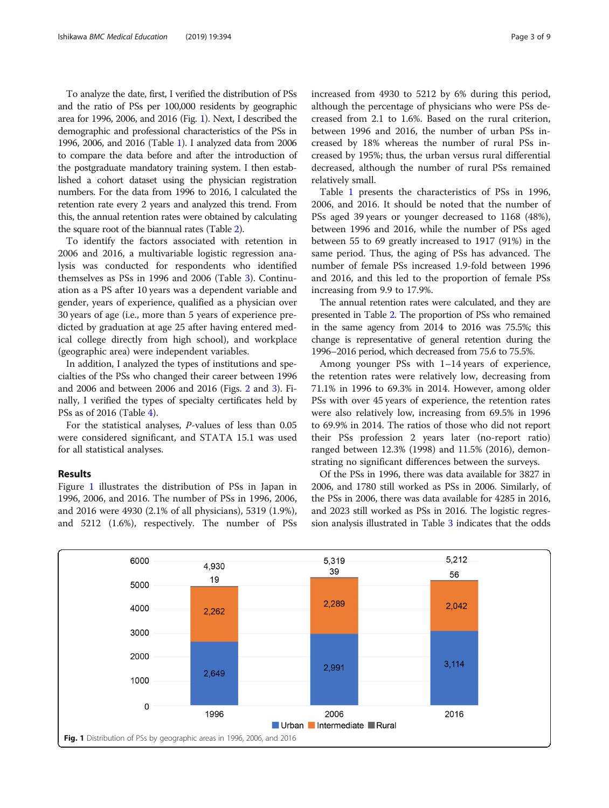To analyze the date, first, I verified the distribution of PSs and the ratio of PSs per 100,000 residents by geographic area for 1996, 2006, and 2016 (Fig. 1). Next, I described the demographic and professional characteristics of the PSs in 1996, 2006, and 2016 (Table [1\)](#page-3-0). I analyzed data from 2006 to compare the data before and after the introduction of the postgraduate mandatory training system. I then established a cohort dataset using the physician registration numbers. For the data from 1996 to 2016, I calculated the retention rate every 2 years and analyzed this trend. From this, the annual retention rates were obtained by calculating the square root of the biannual rates (Table [2\)](#page-3-0).

To identify the factors associated with retention in 2006 and 2016, a multivariable logistic regression analysis was conducted for respondents who identified themselves as PSs in 1996 and 2006 (Table [3\)](#page-4-0). Continuation as a PS after 10 years was a dependent variable and gender, years of experience, qualified as a physician over 30 years of age (i.e., more than 5 years of experience predicted by graduation at age 25 after having entered medical college directly from high school), and workplace (geographic area) were independent variables.

In addition, I analyzed the types of institutions and specialties of the PSs who changed their career between 1996 and 2006 and between 2006 and 2016 (Figs. [2](#page-5-0) and [3\)](#page-5-0). Finally, I verified the types of specialty certificates held by PSs as of 2016 (Table [4](#page-6-0)).

For the statistical analyses, P-values of less than 0.05 were considered significant, and STATA 15.1 was used for all statistical analyses.

## Results

Figure 1 illustrates the distribution of PSs in Japan in 1996, 2006, and 2016. The number of PSs in 1996, 2006, and 2016 were 4930 (2.1% of all physicians), 5319 (1.9%), and 5212 (1.6%), respectively. The number of PSs increased from 4930 to 5212 by 6% during this period, although the percentage of physicians who were PSs decreased from 2.1 to 1.6%. Based on the rural criterion, between 1996 and 2016, the number of urban PSs increased by 18% whereas the number of rural PSs increased by 195%; thus, the urban versus rural differential decreased, although the number of rural PSs remained relatively small.

Table [1](#page-3-0) presents the characteristics of PSs in 1996, 2006, and 2016. It should be noted that the number of PSs aged 39 years or younger decreased to 1168 (48%), between 1996 and 2016, while the number of PSs aged between 55 to 69 greatly increased to 1917 (91%) in the same period. Thus, the aging of PSs has advanced. The number of female PSs increased 1.9-fold between 1996 and 2016, and this led to the proportion of female PSs increasing from 9.9 to 17.9%.

The annual retention rates were calculated, and they are presented in Table [2.](#page-3-0) The proportion of PSs who remained in the same agency from 2014 to 2016 was 75.5%; this change is representative of general retention during the 1996–2016 period, which decreased from 75.6 to 75.5%.

Among younger PSs with 1–14 years of experience, the retention rates were relatively low, decreasing from 71.1% in 1996 to 69.3% in 2014. However, among older PSs with over 45 years of experience, the retention rates were also relatively low, increasing from 69.5% in 1996 to 69.9% in 2014. The ratios of those who did not report their PSs profession 2 years later (no-report ratio) ranged between 12.3% (1998) and 11.5% (2016), demonstrating no significant differences between the surveys.

Of the PSs in 1996, there was data available for 3827 in 2006, and 1780 still worked as PSs in 2006. Similarly, of the PSs in 2006, there was data available for 4285 in 2016, and 2023 still worked as PSs in 2016. The logistic regression analysis illustrated in Table [3](#page-4-0) indicates that the odds

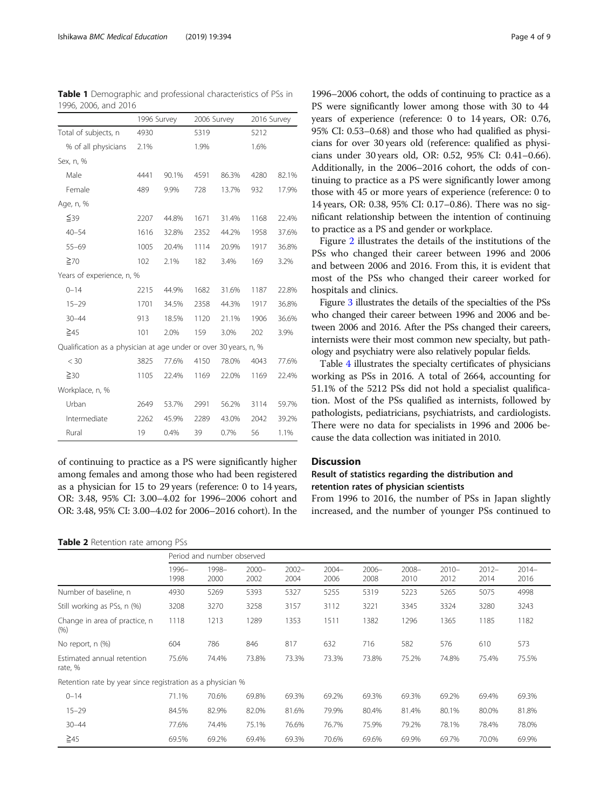|                                                                  | 1996 Survey |       | 2006 Survey |       | 2016 Survey |       |  |
|------------------------------------------------------------------|-------------|-------|-------------|-------|-------------|-------|--|
| Total of subjects, n                                             | 4930        |       |             | 5319  |             | 5212  |  |
| % of all physicians                                              | 2.1%        |       | 1.9%        |       | 1.6%        |       |  |
| Sex, n, %                                                        |             |       |             |       |             |       |  |
| Male                                                             | 4441        | 90.1% | 4591        | 86.3% | 4280        | 82.1% |  |
| Female                                                           | 489         | 9.9%  | 728         | 13.7% | 932         | 17.9% |  |
| Age, n, %                                                        |             |       |             |       |             |       |  |
| ≦39                                                              | 2207        | 44.8% | 1671        | 31.4% | 1168        | 22.4% |  |
| $40 - 54$                                                        | 1616        | 32.8% | 2352        | 44.2% | 1958        | 37.6% |  |
| $55 - 69$                                                        | 1005        | 20.4% | 1114        | 20.9% | 1917        | 36.8% |  |
| $\geq 70$                                                        | 102         | 2.1%  | 182         | 3.4%  | 169         | 3.2%  |  |
| Years of experience, n, %                                        |             |       |             |       |             |       |  |
| $0 - 14$                                                         | 2215        | 44.9% | 1682        | 31.6% | 1187        | 22.8% |  |
| $15 - 29$                                                        | 1701        | 34.5% | 2358        | 44.3% | 1917        | 36.8% |  |
| $30 - 44$                                                        | 913         | 18.5% | 1120        | 21.1% | 1906        | 36.6% |  |
| $\geq 45$                                                        | 101         | 2.0%  | 159         | 3.0%  | 202         | 3.9%  |  |
| Qualification as a physician at age under or over 30 years, n, % |             |       |             |       |             |       |  |
| $<$ 30                                                           | 3825        | 77.6% | 4150        | 78.0% | 4043        | 77.6% |  |
| $\geq$ 30                                                        | 1105        | 22.4% | 1169        | 22.0% | 1169        | 22.4% |  |
| Workplace, n, %                                                  |             |       |             |       |             |       |  |
| Urban                                                            | 2649        | 53.7% | 2991        | 56.2% | 3114        | 59.7% |  |
| Intermediate                                                     | 2262        | 45.9% | 2289        | 43.0% | 2042        | 39.2% |  |
| Rural                                                            | 19          | 0.4%  | 39          | 0.7%  | 56          | 1.1%  |  |

of continuing to practice as a PS were significantly higher among females and among those who had been registered as a physician for 15 to 29 years (reference: 0 to 14 years, OR: 3.48, 95% CI: 3.00–4.02 for 1996–2006 cohort and OR: 3.48, 95% CI: 3.00–4.02 for 2006–2016 cohort). In the

#### Table 2 Retention rate among PSs

1996–2006 cohort, the odds of continuing to practice as a PS were significantly lower among those with 30 to 44 years of experience (reference: 0 to 14 years, OR: 0.76, 95% CI: 0.53–0.68) and those who had qualified as physicians for over 30 years old (reference: qualified as physicians under 30 years old, OR: 0.52, 95% CI: 0.41–0.66). Additionally, in the 2006–2016 cohort, the odds of continuing to practice as a PS were significantly lower among those with 45 or more years of experience (reference: 0 to 14 years, OR: 0.38, 95% CI: 0.17–0.86). There was no significant relationship between the intention of continuing to practice as a PS and gender or workplace.

Figure [2](#page-5-0) illustrates the details of the institutions of the PSs who changed their career between 1996 and 2006 and between 2006 and 2016. From this, it is evident that most of the PSs who changed their career worked for hospitals and clinics.

Figure [3](#page-5-0) illustrates the details of the specialties of the PSs who changed their career between 1996 and 2006 and between 2006 and 2016. After the PSs changed their careers, internists were their most common new specialty, but pathology and psychiatry were also relatively popular fields.

Table [4](#page-6-0) illustrates the specialty certificates of physicians working as PSs in 2016. A total of 2664, accounting for 51.1% of the 5212 PSs did not hold a specialist qualification. Most of the PSs qualified as internists, followed by pathologists, pediatricians, psychiatrists, and cardiologists. There were no data for specialists in 1996 and 2006 because the data collection was initiated in 2010.

# Discussion

# Result of statistics regarding the distribution and retention rates of physician scientists

From 1996 to 2016, the number of PSs in Japan slightly increased, and the number of younger PSs continued to

|                                                            | Period and number observed |               |                  |                  |                  |                  |                  |                  |                  |                 |
|------------------------------------------------------------|----------------------------|---------------|------------------|------------------|------------------|------------------|------------------|------------------|------------------|-----------------|
|                                                            | 1996-<br>1998              | 1998-<br>2000 | $2000 -$<br>2002 | $2002 -$<br>2004 | $2004 -$<br>2006 | $2006 -$<br>2008 | $2008 -$<br>2010 | $2010 -$<br>2012 | $2012 -$<br>2014 | $2014-$<br>2016 |
| Number of baseline, n                                      | 4930                       | 5269          | 5393             | 5327             | 5255             | 5319             | 5223             | 5265             | 5075             | 4998            |
| Still working as PSs, n (%)                                | 3208                       | 3270          | 3258             | 3157             | 3112             | 3221             | 3345             | 3324             | 3280             | 3243            |
| Change in area of practice, n<br>$(\% )$                   | 1118                       | 1213          | 1289             | 1353             | 1511             | 1382             | 1296             | 1365             | 1185             | 1182            |
| No report, n (%)                                           | 604                        | 786           | 846              | 817              | 632              | 716              | 582              | 576              | 610              | 573             |
| Estimated annual retention<br>rate, %                      | 75.6%                      | 74.4%         | 73.8%            | 73.3%            | 73.3%            | 73.8%            | 75.2%            | 74.8%            | 75.4%            | 75.5%           |
| Retention rate by year since registration as a physician % |                            |               |                  |                  |                  |                  |                  |                  |                  |                 |
| $0 - 14$                                                   | 71.1%                      | 70.6%         | 69.8%            | 69.3%            | 69.2%            | 69.3%            | 69.3%            | 69.2%            | 69.4%            | 69.3%           |
| $15 - 29$                                                  | 84.5%                      | 82.9%         | 82.0%            | 81.6%            | 79.9%            | 80.4%            | 81.4%            | 80.1%            | 80.0%            | 81.8%           |
| $30 - 44$                                                  | 77.6%                      | 74.4%         | 75.1%            | 76.6%            | 76.7%            | 75.9%            | 79.2%            | 78.1%            | 78.4%            | 78.0%           |
| $\geq 45$                                                  | 69.5%                      | 69.2%         | 69.4%            | 69.3%            | 70.6%            | 69.6%            | 69.9%            | 69.7%            | 70.0%            | 69.9%           |

<span id="page-3-0"></span>Table 1 Demographic and professional characteristics of PSs in 1996, 2006, and 2016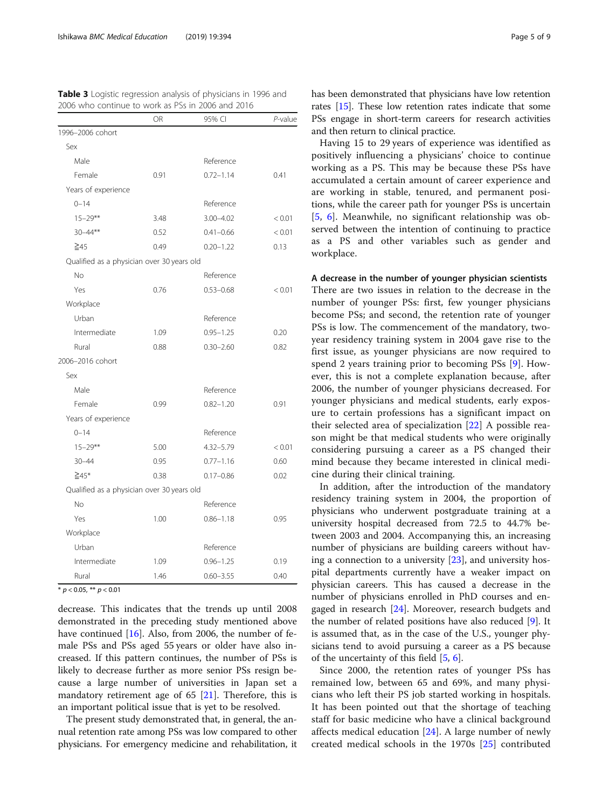|                                            | OR   | 95% CI        | P-value |
|--------------------------------------------|------|---------------|---------|
| 1996-2006 cohort                           |      |               |         |
| Sex                                        |      |               |         |
| Male                                       |      | Reference     |         |
| Female                                     | 0.91 | $0.72 - 1.14$ | 0.41    |
| Years of experience                        |      |               |         |
| $0 - 14$                                   |      | Reference     |         |
| $15 - 29**$                                | 3.48 | $3.00 - 4.02$ | < 0.01  |
| $30 - 44**$                                | 0.52 | $0.41 - 0.66$ | < 0.01  |
| $\geq 45$                                  | 0.49 | $0.20 - 1.22$ | 0.13    |
| Qualified as a physician over 30 years old |      |               |         |
| No                                         |      | Reference     |         |
| Yes                                        | 0.76 | $0.53 - 0.68$ | < 0.01  |
| Workplace                                  |      |               |         |
| Urban                                      |      | Reference     |         |
| Intermediate                               | 1.09 | $0.95 - 1.25$ | 0.20    |
| Rural                                      | 0.88 | $0.30 - 2.60$ | 0.82    |
| 2006-2016 cohort                           |      |               |         |
| Sex                                        |      |               |         |
| Male                                       |      | Reference     |         |
| Female                                     | 0.99 | $0.82 - 1.20$ | 0.91    |
| Years of experience                        |      |               |         |
| $0 - 14$                                   |      | Reference     |         |
| $15 - 29**$                                | 5.00 | $4.32 - 5.79$ | < 0.01  |
| $30 - 44$                                  | 0.95 | $0.77 - 1.16$ | 0.60    |
| $\geq 45*$                                 | 0.38 | $0.17 - 0.86$ | 0.02    |
| Qualified as a physician over 30 years old |      |               |         |
| <b>No</b>                                  |      | Reference     |         |
| Yes                                        | 1.00 | $0.86 - 1.18$ | 0.95    |
| Workplace                                  |      |               |         |
| Urban                                      |      | Reference     |         |
| Intermediate                               | 1.09 | $0.96 - 1.25$ | 0.19    |
| Rural                                      | 1.46 | $0.60 - 3.55$ | 0.40    |

<span id="page-4-0"></span>Table 3 Logistic regression analysis of physicians in 1996 and

\*  $p < 0.05$ , \*\*  $p < 0.01$ 

decrease. This indicates that the trends up until 2008 demonstrated in the preceding study mentioned above have continued [\[16\]](#page-7-0). Also, from 2006, the number of female PSs and PSs aged 55 years or older have also increased. If this pattern continues, the number of PSs is likely to decrease further as more senior PSs resign because a large number of universities in Japan set a mandatory retirement age of 65 [\[21\]](#page-7-0). Therefore, this is an important political issue that is yet to be resolved.

The present study demonstrated that, in general, the annual retention rate among PSs was low compared to other physicians. For emergency medicine and rehabilitation, it has been demonstrated that physicians have low retention rates [\[15\]](#page-7-0). These low retention rates indicate that some PSs engage in short-term careers for research activities and then return to clinical practice.

Having 15 to 29 years of experience was identified as positively influencing a physicians' choice to continue working as a PS. This may be because these PSs have accumulated a certain amount of career experience and are working in stable, tenured, and permanent positions, while the career path for younger PSs is uncertain [[5](#page-7-0), [6\]](#page-7-0). Meanwhile, no significant relationship was observed between the intention of continuing to practice as a PS and other variables such as gender and workplace.

# A decrease in the number of younger physician scientists

There are two issues in relation to the decrease in the number of younger PSs: first, few younger physicians become PSs; and second, the retention rate of younger PSs is low. The commencement of the mandatory, twoyear residency training system in 2004 gave rise to the first issue, as younger physicians are now required to spend 2 years training prior to becoming PSs [\[9](#page-7-0)]. However, this is not a complete explanation because, after 2006, the number of younger physicians decreased. For younger physicians and medical students, early exposure to certain professions has a significant impact on their selected area of specialization [[22\]](#page-7-0) A possible reason might be that medical students who were originally considering pursuing a career as a PS changed their mind because they became interested in clinical medicine during their clinical training.

In addition, after the introduction of the mandatory residency training system in 2004, the proportion of physicians who underwent postgraduate training at a university hospital decreased from 72.5 to 44.7% between 2003 and 2004. Accompanying this, an increasing number of physicians are building careers without having a connection to a university [[23](#page-7-0)], and university hospital departments currently have a weaker impact on physician careers. This has caused a decrease in the number of physicians enrolled in PhD courses and en-gaged in research [[24\]](#page-7-0). Moreover, research budgets and the number of related positions have also reduced [[9\]](#page-7-0). It is assumed that, as in the case of the U.S., younger physicians tend to avoid pursuing a career as a PS because of the uncertainty of this field [\[5](#page-7-0), [6\]](#page-7-0).

Since 2000, the retention rates of younger PSs has remained low, between 65 and 69%, and many physicians who left their PS job started working in hospitals. It has been pointed out that the shortage of teaching staff for basic medicine who have a clinical background affects medical education [\[24](#page-7-0)]. A large number of newly created medical schools in the 1970s [[25\]](#page-7-0) contributed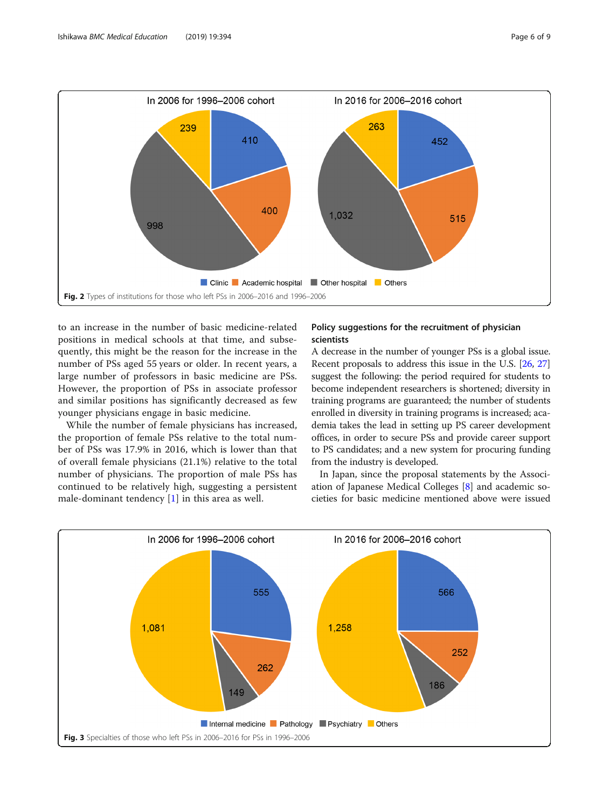<span id="page-5-0"></span>

to an increase in the number of basic medicine-related positions in medical schools at that time, and subsequently, this might be the reason for the increase in the number of PSs aged 55 years or older. In recent years, a large number of professors in basic medicine are PSs. However, the proportion of PSs in associate professor and similar positions has significantly decreased as few younger physicians engage in basic medicine.

While the number of female physicians has increased, the proportion of female PSs relative to the total number of PSs was 17.9% in 2016, which is lower than that of overall female physicians (21.1%) relative to the total number of physicians. The proportion of male PSs has continued to be relatively high, suggesting a persistent male-dominant tendency [[1](#page-7-0)] in this area as well.

# Policy suggestions for the recruitment of physician scientists

A decrease in the number of younger PSs is a global issue. Recent proposals to address this issue in the U.S. [[26](#page-7-0), [27](#page-7-0)] suggest the following: the period required for students to become independent researchers is shortened; diversity in training programs are guaranteed; the number of students enrolled in diversity in training programs is increased; academia takes the lead in setting up PS career development offices, in order to secure PSs and provide career support to PS candidates; and a new system for procuring funding from the industry is developed.

In Japan, since the proposal statements by the Association of Japanese Medical Colleges [\[8\]](#page-7-0) and academic societies for basic medicine mentioned above were issued

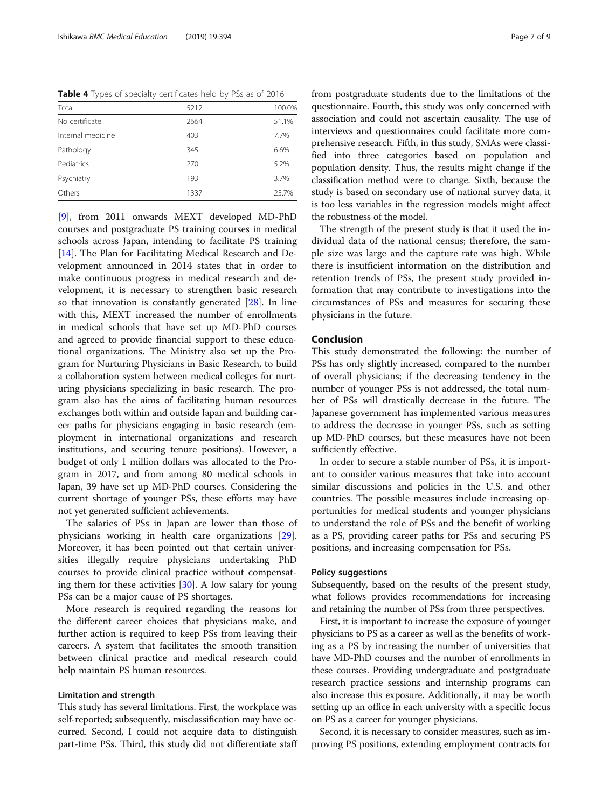<span id="page-6-0"></span>Table 4 Types of specialty certificates held by PSs as of 2016

| Total             | 5212 | 100.0% |
|-------------------|------|--------|
| No certificate    | 2664 | 51.1%  |
| Internal medicine | 403  | 7.7%   |
| Pathology         | 345  | 6.6%   |
| Pediatrics        | 270  | 5.2%   |
| Psychiatry        | 193  | 3.7%   |
| Others            | 1337 | 25.7%  |

[[9\]](#page-7-0), from 2011 onwards MEXT developed MD-PhD courses and postgraduate PS training courses in medical schools across Japan, intending to facilitate PS training [[14\]](#page-7-0). The Plan for Facilitating Medical Research and Development announced in 2014 states that in order to make continuous progress in medical research and development, it is necessary to strengthen basic research so that innovation is constantly generated [[28\]](#page-8-0). In line with this, MEXT increased the number of enrollments in medical schools that have set up MD-PhD courses and agreed to provide financial support to these educational organizations. The Ministry also set up the Program for Nurturing Physicians in Basic Research, to build a collaboration system between medical colleges for nurturing physicians specializing in basic research. The program also has the aims of facilitating human resources exchanges both within and outside Japan and building career paths for physicians engaging in basic research (employment in international organizations and research institutions, and securing tenure positions). However, a budget of only 1 million dollars was allocated to the Program in 2017, and from among 80 medical schools in Japan, 39 have set up MD-PhD courses. Considering the current shortage of younger PSs, these efforts may have not yet generated sufficient achievements.

The salaries of PSs in Japan are lower than those of physicians working in health care organizations [\[29](#page-8-0)]. Moreover, it has been pointed out that certain universities illegally require physicians undertaking PhD courses to provide clinical practice without compensating them for these activities [[30\]](#page-8-0). A low salary for young PSs can be a major cause of PS shortages.

More research is required regarding the reasons for the different career choices that physicians make, and further action is required to keep PSs from leaving their careers. A system that facilitates the smooth transition between clinical practice and medical research could help maintain PS human resources.

## Limitation and strength

This study has several limitations. First, the workplace was self-reported; subsequently, misclassification may have occurred. Second, I could not acquire data to distinguish part-time PSs. Third, this study did not differentiate staff

from postgraduate students due to the limitations of the questionnaire. Fourth, this study was only concerned with association and could not ascertain causality. The use of interviews and questionnaires could facilitate more comprehensive research. Fifth, in this study, SMAs were classified into three categories based on population and population density. Thus, the results might change if the classification method were to change. Sixth, because the study is based on secondary use of national survey data, it is too less variables in the regression models might affect the robustness of the model.

The strength of the present study is that it used the individual data of the national census; therefore, the sample size was large and the capture rate was high. While there is insufficient information on the distribution and retention trends of PSs, the present study provided information that may contribute to investigations into the circumstances of PSs and measures for securing these physicians in the future.

# Conclusion

This study demonstrated the following: the number of PSs has only slightly increased, compared to the number of overall physicians; if the decreasing tendency in the number of younger PSs is not addressed, the total number of PSs will drastically decrease in the future. The Japanese government has implemented various measures to address the decrease in younger PSs, such as setting up MD-PhD courses, but these measures have not been sufficiently effective.

In order to secure a stable number of PSs, it is important to consider various measures that take into account similar discussions and policies in the U.S. and other countries. The possible measures include increasing opportunities for medical students and younger physicians to understand the role of PSs and the benefit of working as a PS, providing career paths for PSs and securing PS positions, and increasing compensation for PSs.

#### Policy suggestions

Subsequently, based on the results of the present study, what follows provides recommendations for increasing and retaining the number of PSs from three perspectives.

First, it is important to increase the exposure of younger physicians to PS as a career as well as the benefits of working as a PS by increasing the number of universities that have MD-PhD courses and the number of enrollments in these courses. Providing undergraduate and postgraduate research practice sessions and internship programs can also increase this exposure. Additionally, it may be worth setting up an office in each university with a specific focus on PS as a career for younger physicians.

Second, it is necessary to consider measures, such as improving PS positions, extending employment contracts for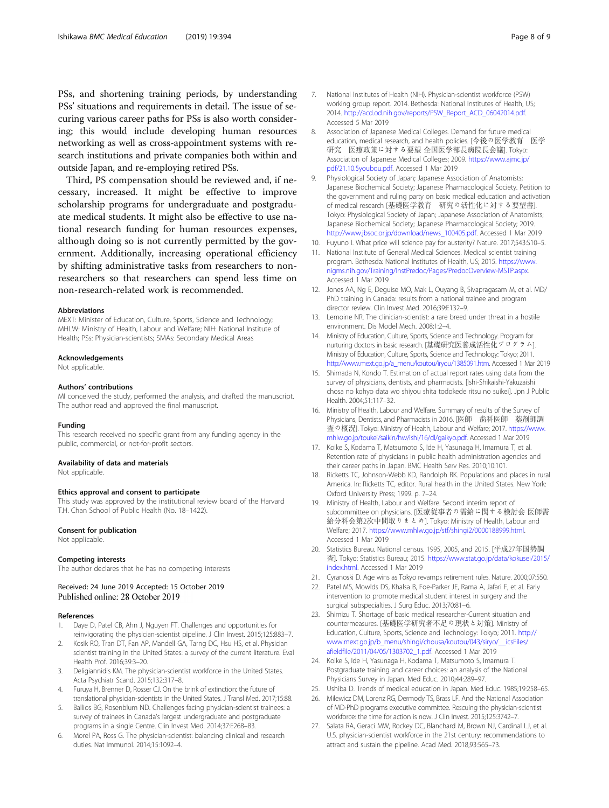<span id="page-7-0"></span>PSs, and shortening training periods, by understanding PSs' situations and requirements in detail. The issue of securing various career paths for PSs is also worth considering; this would include developing human resources networking as well as cross-appointment systems with research institutions and private companies both within and outside Japan, and re-employing retired PSs.

Third, PS compensation should be reviewed and, if necessary, increased. It might be effective to improve scholarship programs for undergraduate and postgraduate medical students. It might also be effective to use national research funding for human resources expenses, although doing so is not currently permitted by the government. Additionally, increasing operational efficiency by shifting administrative tasks from researchers to nonresearchers so that researchers can spend less time on non-research-related work is recommended.

#### Abbreviations

MEXT: Minister of Education, Culture, Sports, Science and Technology; MHLW: Ministry of Health, Labour and Welfare; NIH: National Institute of Health; PSs: Physician-scientists; SMAs: Secondary Medical Areas

#### Acknowledgements

Not applicable.

#### Authors' contributions

MI conceived the study, performed the analysis, and drafted the manuscript. The author read and approved the final manuscript.

#### Funding

This research received no specific grant from any funding agency in the public, commercial, or not-for-profit sectors.

#### Availability of data and materials

Not applicable.

#### Ethics approval and consent to participate

This study was approved by the institutional review board of the Harvard T.H. Chan School of Public Health (No. 18–1422).

#### Consent for publication

Not applicable.

#### Competing interests

The author declares that he has no competing interests

## Received: 24 June 2019 Accepted: 15 October 2019 Published online: 28 October 2019

#### References

- 1. Daye D, Patel CB, Ahn J, Nguyen FT. Challenges and opportunities for reinvigorating the physician-scientist pipeline. J Clin Invest. 2015;125:883–7.
- 2. Kosik RO, Tran DT, Fan AP, Mandell GA, Tarng DC, Hsu HS, et al. Physician scientist training in the United States: a survey of the current literature. Eval Health Prof. 2016;39:3–20.
- 3. Deligiannidis KM. The physician-scientist workforce in the United States. Acta Psychiatr Scand. 2015;132:317–8.
- 4. Furuya H, Brenner D, Rosser CJ. On the brink of extinction: the future of translational physician-scientists in the United States. J Transl Med. 2017;15:88.
- 5. Ballios BG, Rosenblum ND. Challenges facing physician-scientist trainees: a survey of trainees in Canada's largest undergraduate and postgraduate programs in a single Centre. Clin Invest Med. 2014;37:E268–83.
- 6. Morel PA, Ross G. The physician-scientist: balancing clinical and research duties. Nat Immunol. 2014;15:1092–4.
- 7. National Institutes of Health (NIH). Physician-scientist workforce (PSW) working group report. 2014. Bethesda: National Institutes of Health, US; 2014. [http://acd.od.nih.gov/reports/PSW\\_Report\\_ACD\\_06042014.pdf.](http://acd.od.nih.gov/reports/PSW_Report_ACD_06042014.pdf) Accessed 5 Mar 2019
- 8. Association of Japanese Medical Colleges. Demand for future medical education, medical research, and health policies. [今後の医学教育 医学 研究 医療政策に対する要望 全国医学部長病院長会議]. Tokyo: Association of Japanese Medical Colleges; 2009. [https://www.ajmc.jp/](https://www.ajmc.jp/pdf/21.10.5youbou.pdf) [pdf/21.10.5youbou.pdf.](https://www.ajmc.jp/pdf/21.10.5youbou.pdf) Accessed 1 Mar 2019
- 9. Physiological Society of Japan; Japanese Association of Anatomists; Japanese Biochemical Society; Japanese Pharmacological Society. Petition to the government and ruling party on basic medical education and activation of medical research [基礎医学教育 研究の活性化に対する要望書]. Tokyo: Physiological Society of Japan; Japanese Association of Anatomists; Japanese Biochemical Society; Japanese Pharmacological Society; 2019. [http://www.jbsoc.or.jp/download/news\\_100405.pdf](http://www.jbsoc.or.jp/download/news_100405.pdf). Accessed 1 Mar 2019
- 10. Fuyuno I. What price will science pay for austerity? Nature. 2017;543:S10–5.
- 11. National Institute of General Medical Sciences. Medical scientist training program. Bethesda: National Institutes of Health, US; 2015. [https://www.](https://www.nigms.nih.gov/Training/InstPredoc/Pages/PredocOverview-MSTP.aspx) [nigms.nih.gov/Training/InstPredoc/Pages/PredocOverview-MSTP.aspx.](https://www.nigms.nih.gov/Training/InstPredoc/Pages/PredocOverview-MSTP.aspx) Accessed 1 Mar 2019
- 12. Jones AA, Ng E, Deguise MO, Mak L, Ouyang B, Sivapragasam M, et al. MD/ PhD training in Canada: results from a national trainee and program director review. Clin Invest Med. 2016;39:E132–9.
- 13. Lemoine NR. The clinician-scientist: a rare breed under threat in a hostile environment. Dis Model Mech. 2008;1:2–4.
- 14. Ministry of Education, Culture, Sports, Science and Technology. Program for nurturing doctors in basic research. [基礎研究医養成活性化プログラム]. Ministry of Education, Culture, Sports, Science and Technology: Tokyo; 2011. [http://www.mext.go.jp/a\\_menu/koutou/iryou/1385091.htm](http://www.mext.go.jp/a_menu/koutou/iryou/1385091.htm). Accessed 1 Mar 2019
- 15. Shimada N, Kondo T. Estimation of actual report rates using data from the survey of physicians, dentists, and pharmacists. [Ishi-Shikaishi-Yakuzaishi chosa no kohyo data wo shiyou shita todokede ritsu no suikei]. Jpn J Public Health. 2004;51:117–32.
- 16. Ministry of Health, Labour and Welfare. Summary of results of the Survey of Physicians, Dentists, and Pharmacists in 2016. [医師 歯科医師 薬剤師調 査の概況]. Tokyo: Ministry of Health, Labour and Welfare; 2017. [https://www.](https://www.mhlw.go.jp/toukei/saikin/hw/ishi/16/dl/gaikyo.pdf) [mhlw.go.jp/toukei/saikin/hw/ishi/16/dl/gaikyo.pdf.](https://www.mhlw.go.jp/toukei/saikin/hw/ishi/16/dl/gaikyo.pdf) Accessed 1 Mar 2019
- 17. Koike S, Kodama T, Matsumoto S, Ide H, Yasunaga H, Imamura T, et al. Retention rate of physicians in public health administration agencies and their career paths in Japan. BMC Health Serv Res. 2010;10:101.
- 18. Ricketts TC, Johnson-Webb KD, Randolph RK. Populations and places in rural America. In: Ricketts TC, editor. Rural health in the United States. New York: Oxford University Press; 1999. p. 7–24.
- 19. Ministry of Health, Labour and Welfare. Second interim report of subcommittee on physicians. [医療従事者の需給に関する検討会 医師需 給分科会第2次中間取りまとめ]. Tokyo: Ministry of Health, Labour and Welfare; 2017. [https://www.mhlw.go.jp/stf/shingi2/0000188999.html.](https://www.mhlw.go.jp/stf/shingi2/0000188999.html) Accessed 1 Mar 2019
- 20. Statistics Bureau. National census. 1995, 2005, and 2015. [平成27年国勢調 査]. Tokyo: Statistics Bureau; 2015. [https://www.stat.go.jp/data/kokusei/2015/](https://www.stat.go.jp/data/kokusei/2015/index.html) [index.html.](https://www.stat.go.jp/data/kokusei/2015/index.html) Accessed 1 Mar 2019
- 21. Cyranoski D. Age wins as Tokyo revamps retirement rules. Nature. 2000;07:550.
- 22. Patel MS, Mowlds DS, Khalsa B, Foe-Parker JE, Rama A, Jafari F, et al. Early intervention to promote medical student interest in surgery and the surgical subspecialties. J Surg Educ. 2013;70:81–6.
- 23. Shimizu T. Shortage of basic medical researcher-Current situation and countermeasures. [基礎医学研究者不足の現状と対策]. Ministry of Education, Culture, Sports, Science and Technology: Tokyo; 2011. [http://](http://www.mext.go.jp/b_menu/shingi/chousa/koutou/043/siryo/__icsFiles/afieldfile/2011/04/05/1303702_1.pdf) [www.mext.go.jp/b\\_menu/shingi/chousa/koutou/043/siryo/\\_\\_icsFiles/](http://www.mext.go.jp/b_menu/shingi/chousa/koutou/043/siryo/__icsFiles/afieldfile/2011/04/05/1303702_1.pdf) [afieldfile/2011/04/05/1303702\\_1.pdf.](http://www.mext.go.jp/b_menu/shingi/chousa/koutou/043/siryo/__icsFiles/afieldfile/2011/04/05/1303702_1.pdf) Accessed 1 Mar 2019
- 24. Koike S, Ide H, Yasunaga H, Kodama T, Matsumoto S, Imamura T. Postgraduate training and career choices: an analysis of the National Physicians Survey in Japan. Med Educ. 2010;44:289–97.
- 25. Ushiba D. Trends of medical education in Japan. Med Educ. 1985;19:258–65.
- 26. Milewicz DM, Lorenz RG, Dermody TS, Brass LF. And the National Association of MD-PhD programs executive committee. Rescuing the physician-scientist workforce: the time for action is now. J Clin Invest. 2015;125:3742–7.
- 27. Salata RA, Geraci MW, Rockey DC, Blanchard M, Brown NJ, Cardinal LJ, et al. U.S. physician-scientist workforce in the 21st century: recommendations to attract and sustain the pipeline. Acad Med. 2018;93:565–73.